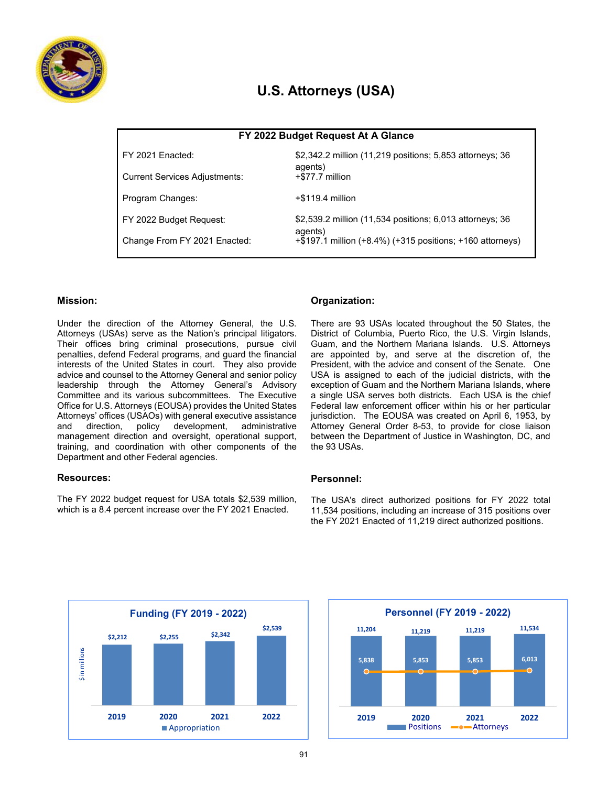

# **U.S. Attorneys (USA)**

| FY 2022 Budget Request At A Glance   |                                                                     |  |  |  |  |
|--------------------------------------|---------------------------------------------------------------------|--|--|--|--|
| FY 2021 Enacted:                     | \$2,342.2 million (11,219 positions; 5,853 attorneys; 36<br>agents) |  |  |  |  |
| <b>Current Services Adjustments:</b> | +\$77.7 million                                                     |  |  |  |  |
| Program Changes:                     | $+$ \$119.4 million                                                 |  |  |  |  |
| FY 2022 Budget Request:              | \$2,539.2 million (11,534 positions; 6,013 attorneys; 36<br>agents) |  |  |  |  |
| Change From FY 2021 Enacted:         | +\$197.1 million (+8.4%) (+315 positions; +160 attorneys)           |  |  |  |  |

## **Mission:**

Under the direction of the Attorney General, the U.S. Attorneys (USAs) serve as the Nation's principal litigators. Their offices bring criminal prosecutions, pursue civil penalties, defend Federal programs, and guard the financial interests of the United States in court. They also provide advice and counsel to the Attorney General and senior policy leadership through the Attorney General's Advisory Committee and its various subcommittees. The Executive Office for U.S. Attorneys (EOUSA) provides the United States Attorneys' offices (USAOs) with general executive assistance and direction, policy development, administrative management direction and oversight, operational support, training, and coordination with other components of the Department and other Federal agencies.

### **Resources:**

The FY 2022 budget request for USA totals \$2,539 million, which is a 8.4 percent increase over the FY 2021 Enacted.

# **Organization:**

There are 93 USAs located throughout the 50 States, the District of Columbia, Puerto Rico, the U.S. Virgin Islands, Guam, and the Northern Mariana Islands. U.S. Attorneys are appointed by, and serve at the discretion of, the President, with the advice and consent of the Senate. One USA is assigned to each of the judicial districts, with the exception of Guam and the Northern Mariana Islands, where a single USA serves both districts. Each USA is the chief Federal law enforcement officer within his or her particular jurisdiction. The EOUSA was created on April 6, 1953, by Attorney General Order 8-53, to provide for close liaison between the Department of Justice in Washington, DC, and the 93 USAs.

### **Personnel:**

The USA's direct authorized positions for FY 2022 total 11,534 positions, including an increase of 315 positions over the FY 2021 Enacted of 11,219 direct authorized positions.



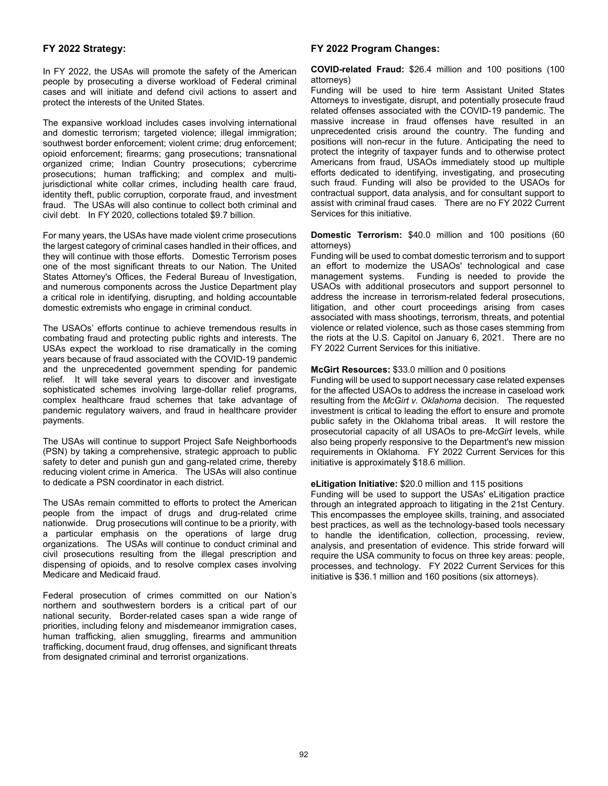## **FY 2022 Strategy:**

In FY 2022, the USAs will promote the safety of the American people by prosecuting a diverse workload of Federal criminal cases and will initiate and defend civil actions to assert and protect the interests of the United States.

The expansive workload includes cases involving international and domestic terrorism; targeted violence; illegal immigration; southwest border enforcement; violent crime; drug enforcement; opioid enforcement; firearms; gang prosecutions; transnational organized crime; Indian Country prosecutions; cybercrime prosecutions; human trafficking; and complex and multijurisdictional white collar crimes, including health care fraud, identity theft, public corruption, corporate fraud, and investment fraud. The USAs will also continue to collect both criminal and civil debt. In FY 2020, collections totaled \$9.7 billion.

For many years, the USAs have made violent crime prosecutions the largest category of criminal cases handled in their offices, and they will continue with those efforts. Domestic Terrorism poses one of the most significant threats to our Nation. The United States Attorney's Offices, the Federal Bureau of Investigation, and numerous components across the Justice Department play a critical role in identifying, disrupting, and holding accountable domestic extremists who engage in criminal conduct.

The USAOs' efforts continue to achieve tremendous results in combating fraud and protecting public rights and interests. The USAs expect the workload to rise dramatically in the coming years because of fraud associated with the COVID-19 pandemic and the unprecedented government spending for pandemic relief. It will take several years to discover and investigate sophisticated schemes involving large-dollar relief programs, complex healthcare fraud schemes that take advantage of pandemic regulatory waivers, and fraud in healthcare provider payments.

The USAs will continue to support Project Safe Neighborhoods (PSN) by taking a comprehensive, strategic approach to public safety to deter and punish gun and gang-related crime, thereby reducing violent crime in America. The USAs will also continue to dedicate a PSN coordinator in each district.

The USAs remain committed to efforts to protect the American people from the impact of drugs and drug-related crime nationwide. Drug prosecutions will continue to be a priority, with a particular emphasis on the operations of large drug organizations. The USAs will continue to conduct criminal and civil prosecutions resulting from the illegal prescription and dispensing of opioids, and to resolve complex cases involving Medicare and Medicaid fraud.

Federal prosecution of crimes committed on our Nation's northern and southwestern borders is a critical part of our national security. Border-related cases span a wide range of priorities, including felony and misdemeanor immigration cases, human trafficking, alien smuggling, firearms and ammunition trafficking, document fraud, drug offenses, and significant threats from designated criminal and terrorist organizations.

### **FY 2022 Program Changes:**

**COVID-related Fraud:** \$26.4 million and 100 positions (100 attorneys)

Funding will be used to hire term Assistant United States Attorneys to investigate, disrupt, and potentially prosecute fraud related offenses associated with the COVID-19 pandemic. The massive increase in fraud offenses have resulted in an unprecedented crisis around the country. The funding and positions will non-recur in the future. Anticipating the need to protect the integrity of taxpayer funds and to otherwise protect Americans from fraud, USAOs immediately stood up multiple efforts dedicated to identifying, investigating, and prosecuting such fraud. Funding will also be provided to the USAOs for contractual support, data analysis, and for consultant support to assist with criminal fraud cases. There are no FY 2022 Current Services for this initiative.

**Domestic Terrorism:** \$40.0 million and 100 positions (60 attorneys)

Funding will be used to combat domestic terrorism and to support an effort to modernize the USAOs' technological and case management systems. Funding is needed to provide the USAOs with additional prosecutors and support personnel to address the increase in terrorism-related federal prosecutions, litigation, and other court proceedings arising from cases associated with mass shootings, terrorism, threats, and potential violence or related violence, such as those cases stemming from the riots at the U.S. Capitol on January 6, 2021. There are no FY 2022 Current Services for this initiative.

#### **McGirt Resources:** \$33.0 million and 0 positions

Funding will be used to support necessary case related expenses for the affected USAOs to address the increase in caseload work resulting from the *McGirt v. Oklahoma* decision. The requested investment is critical to leading the effort to ensure and promote public safety in the Oklahoma tribal areas. It will restore the prosecutorial capacity of all USAOs to pre-*McGirt* levels, while also being properly responsive to the Department's new mission requirements in Oklahoma. FY 2022 Current Services for this initiative is approximately \$18.6 million.

#### **eLitigation Initiative:** \$20.0 million and 115 positions

Funding will be used to support the USAs' eLitigation practice through an integrated approach to litigating in the 21st Century. This encompasses the employee skills, training, and associated best practices, as well as the technology-based tools necessary to handle the identification, collection, processing, review, analysis, and presentation of evidence. This stride forward will require the USA community to focus on three key areas: people, processes, and technology. FY 2022 Current Services for this initiative is \$36.1 million and 160 positions (six attorneys).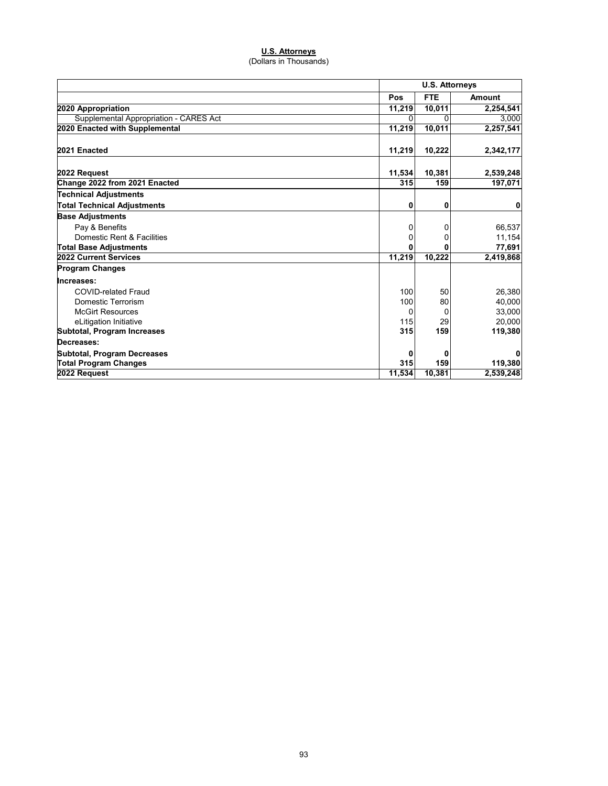#### **U.S. Attorneys**

(Dollars in Thousands)

|                                        |        | <b>U.S. Attorneys</b> |               |  |
|----------------------------------------|--------|-----------------------|---------------|--|
|                                        | Pos    | <b>FTE</b>            | <b>Amount</b> |  |
| 2020 Appropriation                     | 11,219 | 10,011                | 2,254,541     |  |
| Supplemental Appropriation - CARES Act | ŋ      | ŋ                     | 3,000         |  |
| 2020 Enacted with Supplemental         | 11,219 | 10,011                | 2,257,541     |  |
| 2021 Enacted                           | 11,219 | 10,222                | 2,342,177     |  |
| 2022 Request                           | 11,534 | 10,381                | 2,539,248     |  |
| Change 2022 from 2021 Enacted          | 315    | 159                   | 197,071       |  |
| <b>Technical Adjustments</b>           |        |                       |               |  |
| <b>Total Technical Adjustments</b>     | 0      | 0                     | 0             |  |
| <b>Base Adjustments</b>                |        |                       |               |  |
| Pay & Benefits                         | 0      | 0                     | 66,537        |  |
| Domestic Rent & Facilities             | 0      | 0                     | 11,154        |  |
| <b>Total Base Adjustments</b>          | ŋ      | O                     | 77,691        |  |
| 2022 Current Services                  | 11,219 | 10,222                | 2,419,868     |  |
| <b>Program Changes</b>                 |        |                       |               |  |
| Increases:                             |        |                       |               |  |
| <b>COVID-related Fraud</b>             | 100    | 50                    | 26,380        |  |
| Domestic Terrorism                     | 100    | 80                    | 40,000        |  |
| <b>McGirt Resources</b>                | 0      | 0                     | 33,000        |  |
| eLitigation Initiative                 | 115    | 29                    | 20,000        |  |
| Subtotal, Program Increases            | 315    | 159                   | 119,380       |  |
| Decreases:                             |        |                       |               |  |
| <b>Subtotal, Program Decreases</b>     | 0      | 0                     | 0             |  |
| <b>Total Program Changes</b>           | 315    | 159                   | 119,380       |  |
| 2022 Request                           | 11,534 | 10,381                | 2,539,248     |  |